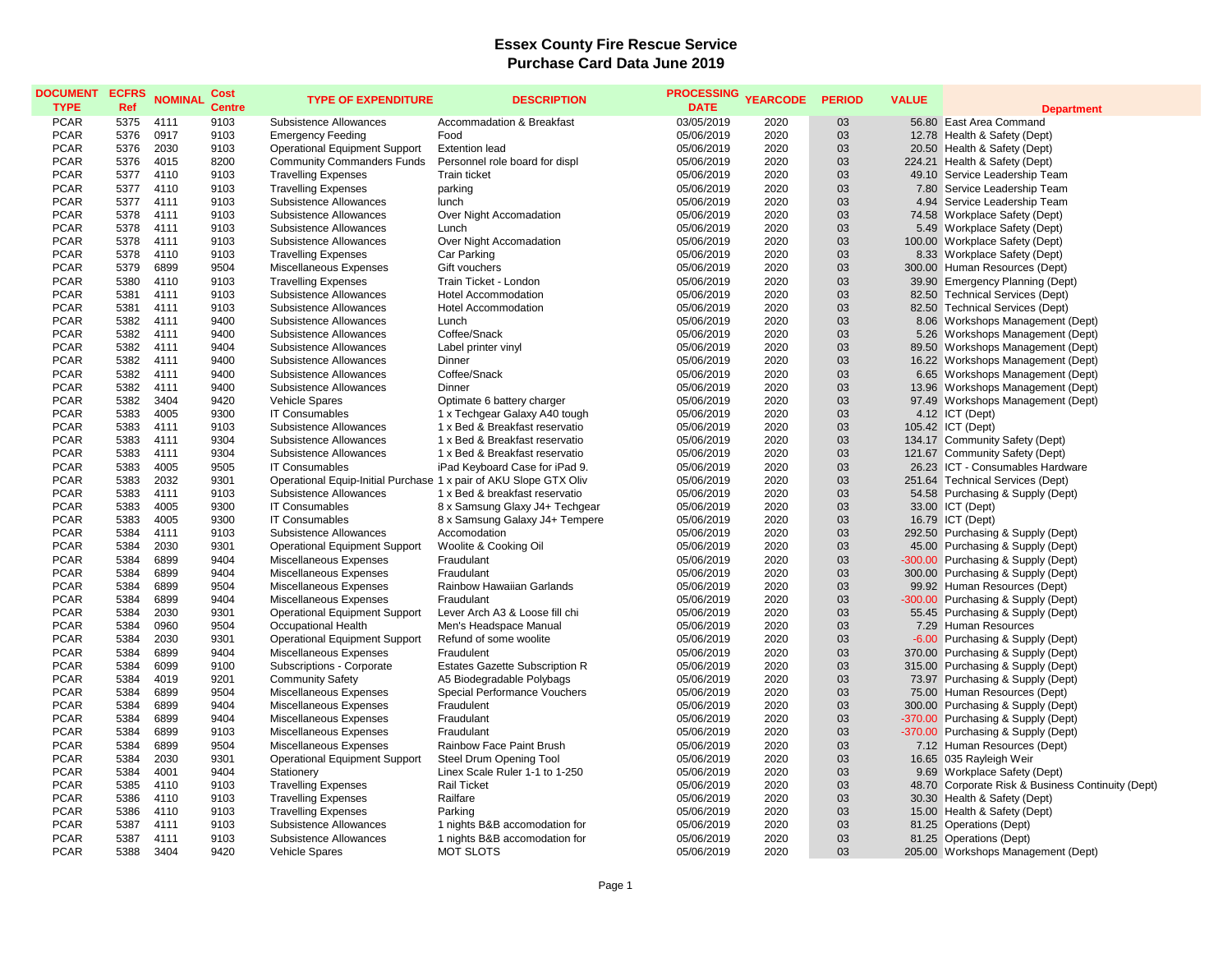## **Essex County Fire Rescue Service Purchase Card Data June 2019**

| <b>DOCUMENT</b><br><b>TYPE</b> | <b>ECFRS</b><br>Ref | <b>NOMINAL</b> | Cost<br><b>Centre</b> | <b>TYPE OF EXPENDITURE</b>                                        | <b>DESCRIPTION</b>                    | <b>PROCESSING</b><br><b>DATE</b> | <b>YEARCODE</b> | <b>PERIOD</b> | <b>VALUE</b> | <b>Department</b>                                 |
|--------------------------------|---------------------|----------------|-----------------------|-------------------------------------------------------------------|---------------------------------------|----------------------------------|-----------------|---------------|--------------|---------------------------------------------------|
| <b>PCAR</b>                    | 5375                | 4111           | 9103                  | Subsistence Allowances                                            | Accommadation & Breakfast             | 03/05/2019                       | 2020            | 03            |              | 56.80 East Area Command                           |
| <b>PCAR</b>                    | 5376                | 0917           | 9103                  | <b>Emergency Feeding</b>                                          | Food                                  | 05/06/2019                       | 2020            | 03            |              | 12.78 Health & Safety (Dept)                      |
| <b>PCAR</b>                    | 5376                | 2030           | 9103                  | <b>Operational Equipment Support</b>                              | <b>Extention lead</b>                 | 05/06/2019                       | 2020            | 03            |              | 20.50 Health & Safety (Dept)                      |
| <b>PCAR</b>                    | 5376                | 4015           | 8200                  | <b>Community Commanders Funds</b>                                 | Personnel role board for displ        | 05/06/2019                       | 2020            | 03            |              | 224.21 Health & Safety (Dept)                     |
| <b>PCAR</b>                    | 5377                | 4110           | 9103                  | <b>Travelling Expenses</b>                                        | <b>Train ticket</b>                   | 05/06/2019                       | 2020            | 03            |              | 49.10 Service Leadership Team                     |
| <b>PCAR</b>                    | 5377                | 4110           | 9103                  | <b>Travelling Expenses</b>                                        | parking                               | 05/06/2019                       | 2020            | 03            |              | 7.80 Service Leadership Team                      |
| <b>PCAR</b>                    | 5377                | 4111           | 9103                  | Subsistence Allowances                                            | lunch                                 | 05/06/2019                       | 2020            | 03            |              | 4.94 Service Leadership Team                      |
| <b>PCAR</b>                    | 5378                | 4111           | 9103                  | Subsistence Allowances                                            | Over Night Accomadation               | 05/06/2019                       | 2020            | 03            |              | 74.58 Workplace Safety (Dept)                     |
| <b>PCAR</b>                    | 5378                | 4111           | 9103                  | Subsistence Allowances                                            | Lunch                                 | 05/06/2019                       | 2020            | 03            |              | 5.49 Workplace Safety (Dept)                      |
| <b>PCAR</b>                    | 5378                | 4111           | 9103                  | Subsistence Allowances                                            | Over Night Accomadation               | 05/06/2019                       | 2020            | 03            |              | 100.00 Workplace Safety (Dept)                    |
| <b>PCAR</b>                    | 5378                | 4110           | 9103                  | <b>Travelling Expenses</b>                                        | Car Parking                           | 05/06/2019                       | 2020            | 03            |              | 8.33 Workplace Safety (Dept)                      |
| <b>PCAR</b>                    | 5379                | 6899           | 9504                  | Miscellaneous Expenses                                            | Gift vouchers                         | 05/06/2019                       | 2020            | 03            |              | 300.00 Human Resources (Dept)                     |
| <b>PCAR</b>                    | 5380                | 4110           | 9103                  | <b>Travelling Expenses</b>                                        | Train Ticket - London                 | 05/06/2019                       | 2020            | 03            |              | 39.90 Emergency Planning (Dept)                   |
| <b>PCAR</b>                    | 5381                | 4111           | 9103                  | Subsistence Allowances                                            | <b>Hotel Accommodation</b>            | 05/06/2019                       | 2020            | 03            |              | 82.50 Technical Services (Dept)                   |
| <b>PCAR</b>                    | 5381                | 4111           | 9103                  | Subsistence Allowances                                            | <b>Hotel Accommodation</b>            | 05/06/2019                       | 2020            | 03            |              | 82.50 Technical Services (Dept)                   |
| <b>PCAR</b>                    | 5382                | 4111           | 9400                  | Subsistence Allowances                                            | Lunch                                 | 05/06/2019                       | 2020            | 03            |              | 8.06 Workshops Management (Dept)                  |
| <b>PCAR</b>                    | 5382                | 4111           | 9400                  | Subsistence Allowances                                            | Coffee/Snack                          | 05/06/2019                       | 2020            | 03            |              | 5.26 Workshops Management (Dept)                  |
| <b>PCAR</b>                    | 5382                | 4111           | 9404                  | Subsistence Allowances                                            | Label printer vinyl                   | 05/06/2019                       | 2020            | 03            |              | 89.50 Workshops Management (Dept)                 |
| <b>PCAR</b>                    | 5382                | 4111           | 9400                  | Subsistence Allowances                                            | Dinner                                | 05/06/2019                       | 2020            | 03            |              | 16.22 Workshops Management (Dept)                 |
| <b>PCAR</b>                    | 5382                | 4111           | 9400                  | Subsistence Allowances                                            | Coffee/Snack                          | 05/06/2019                       | 2020            | 03            |              | 6.65 Workshops Management (Dept)                  |
| <b>PCAR</b>                    | 5382                | 4111           | 9400                  | Subsistence Allowances                                            | Dinner                                | 05/06/2019                       | 2020            | 03            |              | 13.96 Workshops Management (Dept)                 |
| <b>PCAR</b>                    | 5382                | 3404           | 9420                  | <b>Vehicle Spares</b>                                             | Optimate 6 battery charger            | 05/06/2019                       | 2020            | 03            |              | 97.49 Workshops Management (Dept)                 |
| <b>PCAR</b>                    | 5383                | 4005           | 9300                  | <b>IT Consumables</b>                                             | 1 x Techgear Galaxy A40 tough         | 05/06/2019                       | 2020            | 03            |              | 4.12 ICT (Dept)                                   |
| <b>PCAR</b>                    | 5383                | 4111           | 9103                  | Subsistence Allowances                                            | 1 x Bed & Breakfast reservatio        | 05/06/2019                       | 2020            | 03            |              | 105.42 ICT (Dept)                                 |
| <b>PCAR</b>                    | 5383                | 4111           | 9304                  | Subsistence Allowances                                            | 1 x Bed & Breakfast reservatio        | 05/06/2019                       | 2020            | 03            |              | 134.17 Community Safety (Dept)                    |
| <b>PCAR</b>                    | 5383                | 4111           | 9304                  | Subsistence Allowances                                            | 1 x Bed & Breakfast reservatio        | 05/06/2019                       | 2020            | 03            |              | 121.67 Community Safety (Dept)                    |
| <b>PCAR</b>                    | 5383                | 4005           | 9505                  | <b>IT Consumables</b>                                             | iPad Keyboard Case for iPad 9.        | 05/06/2019                       | 2020            | 03            |              | 26.23 ICT - Consumables Hardware                  |
| <b>PCAR</b>                    | 5383                | 2032           | 9301                  | Operational Equip-Initial Purchase 1 x pair of AKU Slope GTX Oliv |                                       | 05/06/2019                       | 2020            | 03            |              | 251.64 Technical Services (Dept)                  |
| <b>PCAR</b>                    | 5383                | 4111           | 9103                  | Subsistence Allowances                                            | 1 x Bed & breakfast reservatio        | 05/06/2019                       | 2020            | 03            |              | 54.58 Purchasing & Supply (Dept)                  |
| <b>PCAR</b>                    | 5383                | 4005           | 9300                  | <b>IT Consumables</b>                                             | 8 x Samsung Glaxy J4+ Techgear        | 05/06/2019                       | 2020            | 03            |              | 33.00 ICT (Dept)                                  |
| <b>PCAR</b>                    | 5383                | 4005           | 9300                  | <b>IT Consumables</b>                                             | 8 x Samsung Galaxy J4+ Tempere        | 05/06/2019                       | 2020            | 03            |              | 16.79 ICT (Dept)                                  |
| <b>PCAR</b>                    | 5384                | 4111           | 9103                  | Subsistence Allowances                                            | Accomodation                          | 05/06/2019                       | 2020            | 03            |              | 292.50 Purchasing & Supply (Dept)                 |
| <b>PCAR</b>                    | 5384                | 2030           | 9301                  | <b>Operational Equipment Support</b>                              | Woolite & Cooking Oil                 | 05/06/2019                       | 2020            | 03            |              | 45.00 Purchasing & Supply (Dept)                  |
| <b>PCAR</b>                    | 5384                | 6899           | 9404                  | Miscellaneous Expenses                                            | Fraudulant                            | 05/06/2019                       | 2020            | 03            |              | -300.00 Purchasing & Supply (Dept)                |
| <b>PCAR</b>                    | 5384                | 6899           | 9404                  | Miscellaneous Expenses                                            | Fraudulant                            | 05/06/2019                       | 2020            | 03            |              | 300.00 Purchasing & Supply (Dept)                 |
| <b>PCAR</b>                    | 5384                | 6899           | 9504                  | Miscellaneous Expenses                                            | Rainbow Hawaiian Garlands             | 05/06/2019                       | 2020            | 03            |              | 99.92 Human Resources (Dept)                      |
| <b>PCAR</b>                    | 5384                | 6899           | 9404                  | Miscellaneous Expenses                                            | Fraudulant                            | 05/06/2019                       | 2020            | 03            |              | -300.00 Purchasing & Supply (Dept)                |
| <b>PCAR</b>                    | 5384                | 2030           | 9301                  | <b>Operational Equipment Support</b>                              | Lever Arch A3 & Loose fill chi        | 05/06/2019                       | 2020            | 03            |              | 55.45 Purchasing & Supply (Dept)                  |
| <b>PCAR</b>                    | 5384                | 0960           | 9504                  | Occupational Health                                               | Men's Headspace Manual                | 05/06/2019                       | 2020            | 03            |              | 7.29 Human Resources                              |
| <b>PCAR</b>                    | 5384                | 2030           | 9301                  | <b>Operational Equipment Support</b>                              | Refund of some woolite                | 05/06/2019                       | 2020            | 03            |              | -6.00 Purchasing & Supply (Dept)                  |
| <b>PCAR</b>                    | 5384                | 6899           | 9404                  | Miscellaneous Expenses                                            | Fraudulent                            | 05/06/2019                       | 2020            | 03            |              | 370.00 Purchasing & Supply (Dept)                 |
| <b>PCAR</b>                    | 5384                | 6099           | 9100                  | Subscriptions - Corporate                                         | <b>Estates Gazette Subscription R</b> | 05/06/2019                       | 2020            | 03            |              | 315.00 Purchasing & Supply (Dept)                 |
| <b>PCAR</b>                    | 5384                | 4019           | 9201                  | <b>Community Safety</b>                                           | A5 Biodegradable Polybags             | 05/06/2019                       | 2020            | 03            |              | 73.97 Purchasing & Supply (Dept)                  |
| <b>PCAR</b>                    | 5384                | 6899           | 9504                  | Miscellaneous Expenses                                            | Special Performance Vouchers          | 05/06/2019                       | 2020            | 03            |              | 75.00 Human Resources (Dept)                      |
| <b>PCAR</b>                    | 5384                | 6899           | 9404                  | Miscellaneous Expenses                                            | Fraudulent                            | 05/06/2019                       | 2020            | 03            |              | 300.00 Purchasing & Supply (Dept)                 |
| <b>PCAR</b>                    | 5384                | 6899           | 9404                  | Miscellaneous Expenses                                            | Fraudulant                            | 05/06/2019                       | 2020            | 03            |              | -370.00 Purchasing & Supply (Dept)                |
| <b>PCAR</b>                    | 5384                | 6899           | 9103                  | Miscellaneous Expenses                                            | Fraudulant                            | 05/06/2019                       | 2020            | 03            |              | -370.00 Purchasing & Supply (Dept)                |
| <b>PCAR</b>                    | 5384                | 6899           | 9504                  | Miscellaneous Expenses                                            | Rainbow Face Paint Brush              | 05/06/2019                       | 2020            | 03            |              | 7.12 Human Resources (Dept)                       |
| <b>PCAR</b>                    | 5384                | 2030           | 9301                  | <b>Operational Equipment Support</b>                              | Steel Drum Opening Tool               | 05/06/2019                       | 2020            | 03            |              | 16.65 035 Rayleigh Weir                           |
| <b>PCAR</b>                    | 5384                | 4001           | 9404                  | Stationery                                                        | Linex Scale Ruler 1-1 to 1-250        | 05/06/2019                       | 2020            | 03            |              | 9.69 Workplace Safety (Dept)                      |
| <b>PCAR</b>                    | 5385                | 4110           | 9103                  | <b>Travelling Expenses</b>                                        | <b>Rail Ticket</b>                    | 05/06/2019                       | 2020            | 03            |              | 48.70 Corporate Risk & Business Continuity (Dept) |
| <b>PCAR</b>                    | 5386                | 4110           | 9103                  | <b>Travelling Expenses</b>                                        | Railfare                              | 05/06/2019                       | 2020            | 03            |              | 30.30 Health & Safety (Dept)                      |
| <b>PCAR</b>                    | 5386                | 4110           | 9103                  | <b>Travelling Expenses</b>                                        | Parking                               | 05/06/2019                       | 2020            | 03            |              | 15.00 Health & Safety (Dept)                      |
| <b>PCAR</b>                    | 5387                | 4111           | 9103                  | Subsistence Allowances                                            | 1 nights B&B accomodation for         | 05/06/2019                       | 2020            | 03            |              | 81.25 Operations (Dept)                           |
| <b>PCAR</b>                    | 5387                | 4111           | 9103                  | Subsistence Allowances                                            | 1 nights B&B accomodation for         | 05/06/2019                       | 2020            | 03            |              | 81.25 Operations (Dept)                           |
| <b>PCAR</b>                    | 5388                | 3404           | 9420                  | <b>Vehicle Spares</b>                                             | <b>MOT SLOTS</b>                      | 05/06/2019                       | 2020            | 03            |              | 205.00 Workshops Management (Dept)                |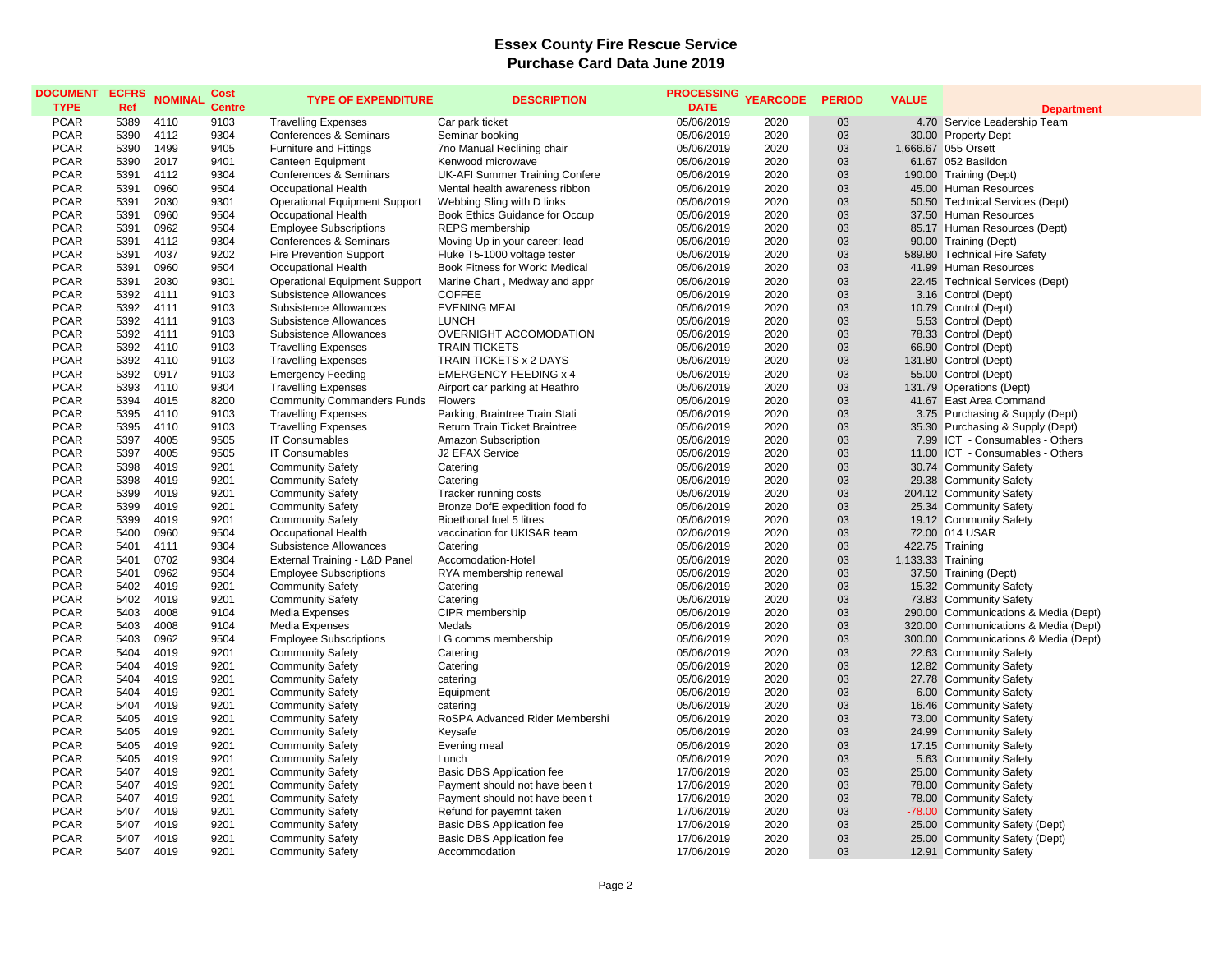## **Essex County Fire Rescue Service Purchase Card Data June 2019**

| <b>DOCUMENT</b><br><b>TYPE</b> | <b>ECFRS</b><br>Ref | <b>NOMINAL</b> | Cost<br><b>Centre</b> | <b>TYPE OF EXPENDITURE</b>           | <b>DESCRIPTION</b>               | <b>PROCESSING</b><br><b>DATE</b> | <b>YEARCODE</b> | <b>PERIOD</b> | <b>VALUE</b>      | <b>Department</b>                    |
|--------------------------------|---------------------|----------------|-----------------------|--------------------------------------|----------------------------------|----------------------------------|-----------------|---------------|-------------------|--------------------------------------|
| <b>PCAR</b>                    | 5389                | 4110           | 9103                  | <b>Travelling Expenses</b>           | Car park ticket                  | 05/06/2019                       | 2020            | 03            |                   | 4.70 Service Leadership Team         |
| <b>PCAR</b>                    | 5390                | 4112           | 9304                  | Conferences & Seminars               | Seminar booking                  | 05/06/2019                       | 2020            | 03            |                   | 30.00 Property Dept                  |
| <b>PCAR</b>                    | 5390                | 1499           | 9405                  | <b>Furniture and Fittings</b>        | 7no Manual Reclining chair       | 05/06/2019                       | 2020            | 03            |                   | 1,666.67 055 Orsett                  |
| <b>PCAR</b>                    | 5390                | 2017           | 9401                  | Canteen Equipment                    | Kenwood microwave                | 05/06/2019                       | 2020            | 03            |                   | 61.67 052 Basildon                   |
| <b>PCAR</b>                    | 5391                | 4112           | 9304                  | Conferences & Seminars               | UK-AFI Summer Training Confere   | 05/06/2019                       | 2020            | 03            |                   | 190.00 Training (Dept)               |
| <b>PCAR</b>                    | 5391                | 0960           | 9504                  | <b>Occupational Health</b>           | Mental health awareness ribbon   | 05/06/2019                       | 2020            | 03            |                   | 45.00 Human Resources                |
| <b>PCAR</b>                    | 5391                | 2030           | 9301                  | <b>Operational Equipment Support</b> | Webbing Sling with D links       | 05/06/2019                       | 2020            | 03            |                   | 50.50 Technical Services (Dept)      |
| <b>PCAR</b>                    | 5391                | 0960           | 9504                  | Occupational Health                  | Book Ethics Guidance for Occup   | 05/06/2019                       | 2020            | 03            |                   | 37.50 Human Resources                |
| <b>PCAR</b>                    | 5391                | 0962           | 9504                  | <b>Employee Subscriptions</b>        | REPS membership                  | 05/06/2019                       | 2020            | 03            |                   | 85.17 Human Resources (Dept)         |
| <b>PCAR</b>                    | 5391                | 4112           | 9304                  | <b>Conferences &amp; Seminars</b>    | Moving Up in your career: lead   | 05/06/2019                       | 2020            | 03            |                   | 90.00 Training (Dept)                |
| <b>PCAR</b>                    | 5391                | 4037           | 9202                  | <b>Fire Prevention Support</b>       | Fluke T5-1000 voltage tester     | 05/06/2019                       | 2020            | 03            |                   | 589.80 Technical Fire Safety         |
| <b>PCAR</b>                    | 5391                | 0960           | 9504                  | Occupational Health                  | Book Fitness for Work: Medical   | 05/06/2019                       | 2020            | 03            |                   | 41.99 Human Resources                |
| <b>PCAR</b>                    | 5391                | 2030           | 9301                  | <b>Operational Equipment Support</b> | Marine Chart, Medway and appr    | 05/06/2019                       | 2020            | 03            |                   | 22.45 Technical Services (Dept)      |
| <b>PCAR</b>                    | 5392                | 4111           | 9103                  | Subsistence Allowances               | <b>COFFEE</b>                    | 05/06/2019                       | 2020            | 03            |                   | 3.16 Control (Dept)                  |
| <b>PCAR</b>                    | 5392                | 4111           | 9103                  | Subsistence Allowances               | <b>EVENING MEAL</b>              | 05/06/2019                       | 2020            | 03            |                   | 10.79 Control (Dept)                 |
| <b>PCAR</b>                    | 5392                | 4111           | 9103                  | Subsistence Allowances               | <b>LUNCH</b>                     | 05/06/2019                       | 2020            | 03            |                   | 5.53 Control (Dept)                  |
| <b>PCAR</b>                    | 5392                | 4111           | 9103                  | Subsistence Allowances               | OVERNIGHT ACCOMODATION           | 05/06/2019                       | 2020            | 03            |                   | 78.33 Control (Dept)                 |
| <b>PCAR</b>                    | 5392                | 4110           | 9103                  | <b>Travelling Expenses</b>           | <b>TRAIN TICKETS</b>             | 05/06/2019                       | 2020            | 03            |                   | 66.90 Control (Dept)                 |
| <b>PCAR</b>                    | 5392                | 4110           | 9103                  | <b>Travelling Expenses</b>           | TRAIN TICKETS x 2 DAYS           | 05/06/2019                       | 2020            | 03            |                   | 131.80 Control (Dept)                |
| <b>PCAR</b>                    | 5392                | 0917           | 9103                  | <b>Emergency Feeding</b>             | <b>EMERGENCY FEEDING x 4</b>     | 05/06/2019                       | 2020            | 03            |                   | 55.00 Control (Dept)                 |
| <b>PCAR</b>                    | 5393                | 4110           | 9304                  | <b>Travelling Expenses</b>           | Airport car parking at Heathro   | 05/06/2019                       | 2020            | 03            |                   | 131.79 Operations (Dept)             |
| <b>PCAR</b>                    | 5394                | 4015           | 8200                  | <b>Community Commanders Funds</b>    | <b>Flowers</b>                   | 05/06/2019                       | 2020            | 03            |                   | 41.67 East Area Command              |
| <b>PCAR</b>                    | 5395                | 4110           | 9103                  | <b>Travelling Expenses</b>           | Parking, Braintree Train Stati   | 05/06/2019                       | 2020            | 03            |                   | 3.75 Purchasing & Supply (Dept)      |
| <b>PCAR</b>                    | 5395                | 4110           | 9103                  | <b>Travelling Expenses</b>           | Return Train Ticket Braintree    | 05/06/2019                       | 2020            | 03            |                   | 35.30 Purchasing & Supply (Dept)     |
| <b>PCAR</b>                    | 5397                | 4005           | 9505                  | <b>IT Consumables</b>                | Amazon Subscription              | 05/06/2019                       | 2020            | 03            |                   | 7.99 ICT - Consumables - Others      |
| <b>PCAR</b>                    | 5397                | 4005           | 9505                  | <b>IT Consumables</b>                | J2 EFAX Service                  | 05/06/2019                       | 2020            | 03            |                   | 11.00 ICT - Consumables - Others     |
| <b>PCAR</b>                    | 5398                | 4019           | 9201                  | <b>Community Safety</b>              | Catering                         | 05/06/2019                       | 2020            | 03            |                   | 30.74 Community Safety               |
| <b>PCAR</b>                    | 5398                | 4019           | 9201                  | <b>Community Safety</b>              | Catering                         | 05/06/2019                       | 2020            | 03            |                   | 29.38 Community Safety               |
| <b>PCAR</b>                    | 5399                | 4019           | 9201                  | <b>Community Safety</b>              | Tracker running costs            | 05/06/2019                       | 2020            | 03            |                   | 204.12 Community Safety              |
| <b>PCAR</b>                    | 5399                | 4019           | 9201                  | <b>Community Safety</b>              | Bronze DofE expedition food fo   | 05/06/2019                       | 2020            | 03            |                   | 25.34 Community Safety               |
| <b>PCAR</b>                    | 5399                | 4019           | 9201                  | <b>Community Safety</b>              | Bioethonal fuel 5 litres         | 05/06/2019                       | 2020            | 03            |                   | 19.12 Community Safety               |
| <b>PCAR</b>                    | 5400                | 0960           | 9504                  | Occupational Health                  | vaccination for UKISAR team      | 02/06/2019                       | 2020            | 03            |                   | 72.00 014 USAR                       |
| <b>PCAR</b>                    | 5401                | 4111           | 9304                  | Subsistence Allowances               | Catering                         | 05/06/2019                       | 2020            | 03            |                   | 422.75 Training                      |
| <b>PCAR</b>                    | 5401                | 0702           | 9304                  | External Training - L&D Panel        | Accomodation-Hotel               | 05/06/2019                       | 2020            | 03            | 1,133.33 Training |                                      |
| <b>PCAR</b>                    | 5401                | 0962           | 9504                  | <b>Employee Subscriptions</b>        | RYA membership renewal           | 05/06/2019                       | 2020            | 03            |                   | 37.50 Training (Dept)                |
| <b>PCAR</b>                    | 5402                | 4019           | 9201                  | <b>Community Safety</b>              | Catering                         | 05/06/2019                       | 2020            | 03            |                   | 15.32 Community Safety               |
| <b>PCAR</b>                    | 5402                | 4019           | 9201                  | <b>Community Safety</b>              | Catering                         | 05/06/2019                       | 2020            | 03            |                   | 73.83 Community Safety               |
| <b>PCAR</b>                    | 5403                | 4008           | 9104                  | Media Expenses                       | CIPR membership                  | 05/06/2019                       | 2020            | 03            |                   | 290.00 Communications & Media (Dept) |
| <b>PCAR</b>                    | 5403                | 4008           | 9104                  | Media Expenses                       | Medals                           | 05/06/2019                       | 2020            | 03            |                   | 320.00 Communications & Media (Dept) |
| <b>PCAR</b>                    | 5403                | 0962           | 9504                  | <b>Employee Subscriptions</b>        | LG comms membership              | 05/06/2019                       | 2020            | 03            |                   | 300.00 Communications & Media (Dept) |
| <b>PCAR</b>                    | 5404                | 4019           | 9201                  | <b>Community Safety</b>              | Catering                         | 05/06/2019                       | 2020            | 03            |                   | 22.63 Community Safety               |
| <b>PCAR</b>                    | 5404                | 4019           | 9201                  | <b>Community Safety</b>              | Catering                         | 05/06/2019                       | 2020            | 03            |                   | 12.82 Community Safety               |
| <b>PCAR</b>                    | 5404                | 4019           | 9201                  | <b>Community Safety</b>              | catering                         | 05/06/2019                       | 2020            | 03            |                   | 27.78 Community Safety               |
| <b>PCAR</b>                    | 5404                | 4019           | 9201                  | <b>Community Safety</b>              | Equipment                        | 05/06/2019                       | 2020            | 03            |                   | 6.00 Community Safety                |
| <b>PCAR</b>                    | 5404                | 4019           | 9201                  | <b>Community Safety</b>              | catering                         | 05/06/2019                       | 2020            | 03            |                   | 16.46 Community Safety               |
| <b>PCAR</b>                    | 5405                | 4019           | 9201                  | <b>Community Safety</b>              | RoSPA Advanced Rider Membershi   | 05/06/2019                       | 2020            | 03            |                   | 73.00 Community Safety               |
| <b>PCAR</b>                    | 5405                | 4019           | 9201                  | <b>Community Safety</b>              | Keysafe                          | 05/06/2019                       | 2020            | 03            |                   | 24.99 Community Safety               |
| <b>PCAR</b>                    | 5405                | 4019           | 9201                  | <b>Community Safety</b>              | Evening meal                     | 05/06/2019                       | 2020            | 03            |                   | 17.15 Community Safety               |
| <b>PCAR</b>                    | 5405                | 4019           | 9201                  | <b>Community Safety</b>              | Lunch                            | 05/06/2019                       | 2020            | 03            |                   | 5.63 Community Safety                |
| <b>PCAR</b>                    | 5407                | 4019           | 9201                  | <b>Community Safety</b>              | <b>Basic DBS Application fee</b> | 17/06/2019                       | 2020            | 03            |                   | 25.00 Community Safety               |
| <b>PCAR</b>                    | 5407                | 4019           | 9201                  | <b>Community Safety</b>              | Payment should not have been t   | 17/06/2019                       | 2020            | 03            |                   | 78.00 Community Safety               |
| <b>PCAR</b>                    | 5407                | 4019           | 9201                  | <b>Community Safety</b>              | Payment should not have been t   | 17/06/2019                       | 2020            | 03            |                   | 78.00 Community Safety               |
| <b>PCAR</b>                    | 5407                | 4019           | 9201                  | <b>Community Safety</b>              | Refund for payemnt taken         | 17/06/2019                       | 2020            | 03            |                   | -78.00 Community Safety              |
| <b>PCAR</b>                    | 5407                | 4019           | 9201                  | <b>Community Safety</b>              | <b>Basic DBS Application fee</b> | 17/06/2019                       | 2020            | 03            |                   | 25.00 Community Safety (Dept)        |
| <b>PCAR</b>                    | 5407                | 4019           | 9201                  | <b>Community Safety</b>              | <b>Basic DBS Application fee</b> | 17/06/2019                       | 2020            | 03            |                   | 25.00 Community Safety (Dept)        |
| <b>PCAR</b>                    | 5407                | 4019           | 9201                  | <b>Community Safety</b>              | Accommodation                    | 17/06/2019                       | 2020            | 03            |                   | 12.91 Community Safety               |